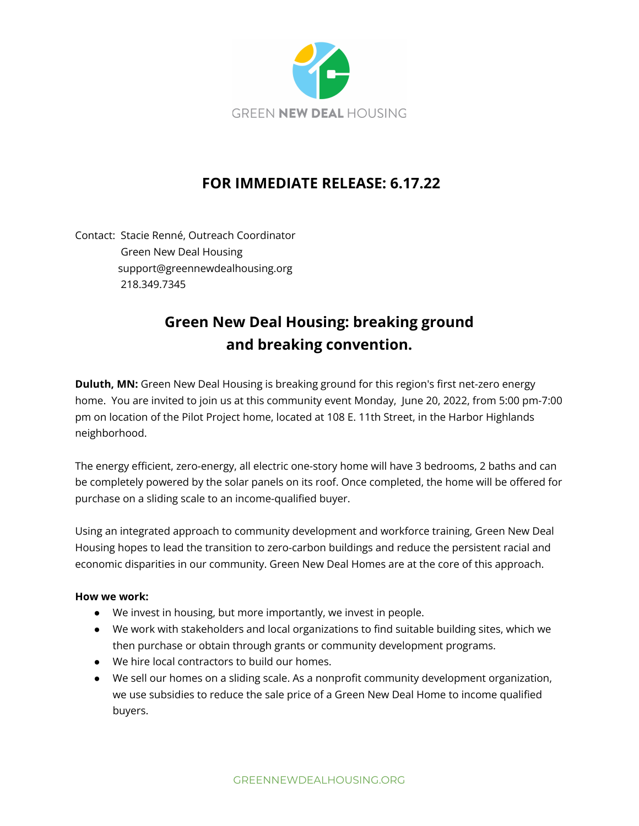

## **FOR IMMEDIATE RELEASE: 6.17.22**

Contact: Stacie Renné, Outreach Coordinator Green New Deal Housing support@greennewdealhousing.org 218.349.7345

## **Green New Deal Housing: breaking ground and breaking convention.**

**Duluth, MN:** Green New Deal Housing is breaking ground for this region's first net-zero energy home. You are invited to join us at this community event Monday, June 20, 2022, from 5:00 pm-7:00 pm on location of the Pilot Project home, located at 108 E. 11th Street, in the Harbor Highlands neighborhood.

The energy efficient, zero-energy, all electric one-story home will have 3 bedrooms, 2 baths and can be completely powered by the solar panels on its roof. Once completed, the home will be offered for purchase on a sliding scale to an income-qualified buyer.

Using an integrated approach to community development and workforce training, Green New Deal Housing hopes to lead the transition to zero-carbon buildings and reduce the persistent racial and economic disparities in our community. Green New Deal Homes are at the core of this approach.

## **How we work:**

- We invest in housing, but more importantly, we invest in people.
- We work with stakeholders and local organizations to find suitable building sites, which we then purchase or obtain through grants or community development programs.
- We hire local contractors to build our homes.
- We sell our homes on a sliding scale. As a nonprofit community development organization, we use subsidies to reduce the sale price of a Green New Deal Home to income qualified buyers.